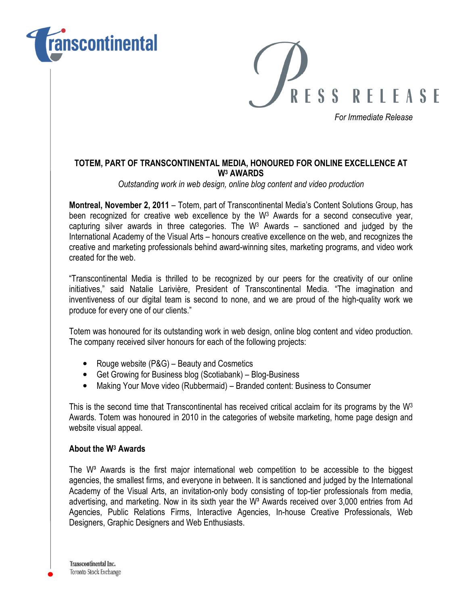



For Immediate Release

## TOTEM, PART OF TRANSCONTINENTAL MEDIA, HONOURED FOR ONLINE EXCELLENCE AT W<sup>3</sup> AWARDS

Outstanding work in web design, online blog content and video production

Montreal, November 2, 2011 – Totem, part of Transcontinental Media's Content Solutions Group, has been recognized for creative web excellence by the W<sup>3</sup> Awards for a second consecutive year, capturing silver awards in three categories. The  $W^3$  Awards – sanctioned and judged by the International Academy of the Visual Arts – honours creative excellence on the web, and recognizes the creative and marketing professionals behind award-winning sites, marketing programs, and video work created for the web.

"Transcontinental Media is thrilled to be recognized by our peers for the creativity of our online initiatives," said Natalie Larivière, President of Transcontinental Media. "The imagination and inventiveness of our digital team is second to none, and we are proud of the high-quality work we produce for every one of our clients."

Totem was honoured for its outstanding work in web design, online blog content and video production. The company received silver honours for each of the following projects:

- Rouge website (P&G) Beauty and Cosmetics
- Get Growing for Business blog (Scotiabank) Blog-Business
- Making Your Move video (Rubbermaid) Branded content: Business to Consumer

This is the second time that Transcontinental has received critical acclaim for its programs by the  $W<sup>3</sup>$ Awards. Totem was honoured in 2010 in the categories of website marketing, home page design and website visual appeal.

## About the W<sup>3</sup> Awards

The  $W<sup>3</sup>$  Awards is the first major international web competition to be accessible to the biggest agencies, the smallest firms, and everyone in between. It is sanctioned and judged by the International Academy of the Visual Arts, an invitation-only body consisting of top-tier professionals from media, advertising, and marketing. Now in its sixth year the W<sup>3</sup> Awards received over 3,000 entries from Ad Agencies, Public Relations Firms, Interactive Agencies, In-house Creative Professionals, Web Designers, Graphic Designers and Web Enthusiasts.